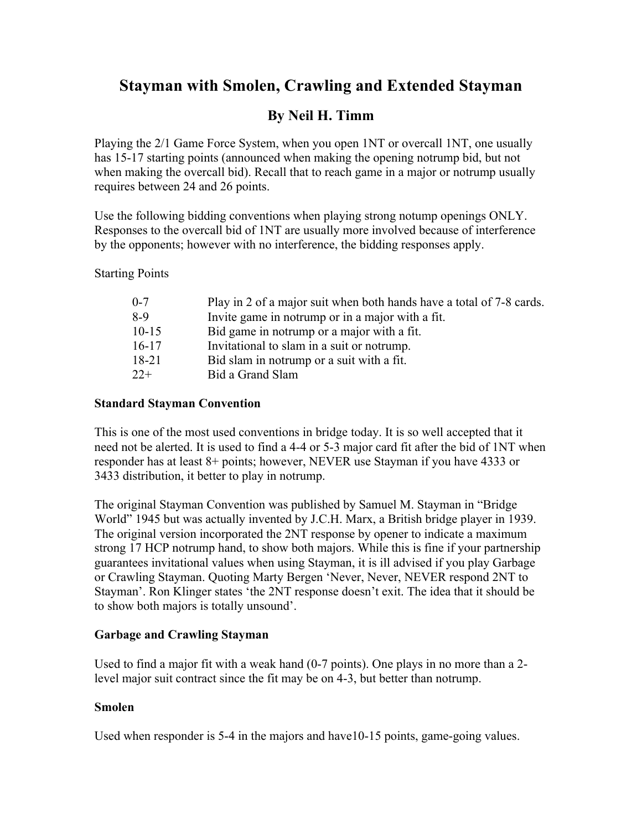## **Stayman with Smolen, Crawling and Extended Stayman**

## **By Neil H. Timm**

Playing the 2/1 Game Force System, when you open 1NT or overcall 1NT, one usually has 15-17 starting points (announced when making the opening notrump bid, but not when making the overcall bid). Recall that to reach game in a major or notrump usually requires between 24 and 26 points.

Use the following bidding conventions when playing strong notump openings ONLY. Responses to the overcall bid of 1NT are usually more involved because of interference by the opponents; however with no interference, the bidding responses apply.

Starting Points

| $0 - 7$   | Play in 2 of a major suit when both hands have a total of 7-8 cards. |
|-----------|----------------------------------------------------------------------|
| 8-9       | Invite game in notrump or in a major with a fit.                     |
| $10 - 15$ | Bid game in notrump or a major with a fit.                           |
| $16 - 17$ | Invitational to slam in a suit or notrump.                           |
| 18-21     | Bid slam in notrump or a suit with a fit.                            |
| $22+$     | Bid a Grand Slam                                                     |
|           |                                                                      |

#### **Standard Stayman Convention**

This is one of the most used conventions in bridge today. It is so well accepted that it need not be alerted. It is used to find a 4-4 or 5-3 major card fit after the bid of 1NT when responder has at least 8+ points; however, NEVER use Stayman if you have 4333 or 3433 distribution, it better to play in notrump.

The original Stayman Convention was published by Samuel M. Stayman in "Bridge World" 1945 but was actually invented by J.C.H. Marx, a British bridge player in 1939. The original version incorporated the 2NT response by opener to indicate a maximum strong 17 HCP notrump hand, to show both majors. While this is fine if your partnership guarantees invitational values when using Stayman, it is ill advised if you play Garbage or Crawling Stayman. Quoting Marty Bergen 'Never, Never, NEVER respond 2NT to Stayman'. Ron Klinger states 'the 2NT response doesn't exit. The idea that it should be to show both majors is totally unsound'.

## **Garbage and Crawling Stayman**

Used to find a major fit with a weak hand (0-7 points). One plays in no more than a 2 level major suit contract since the fit may be on 4-3, but better than notrump.

## **Smolen**

Used when responder is 5-4 in the majors and have10-15 points, game-going values.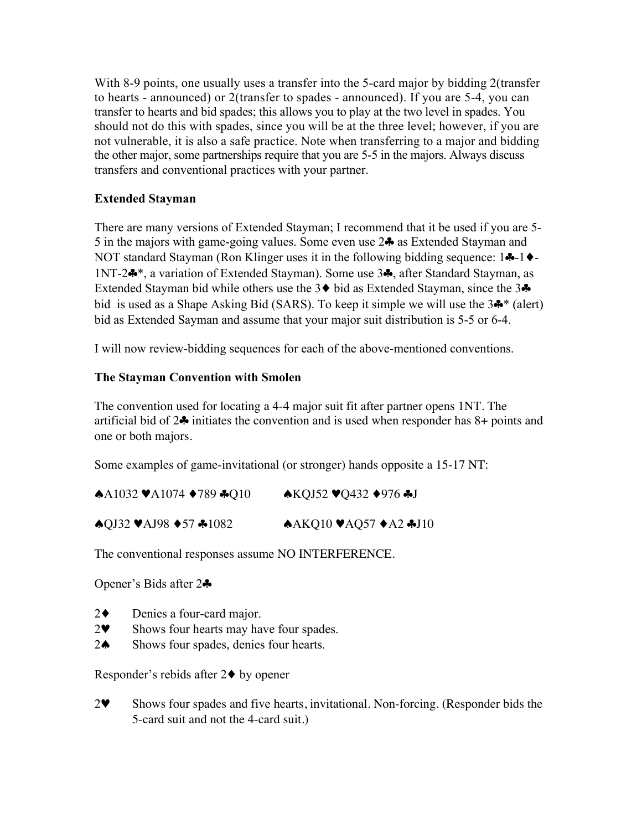With 8-9 points, one usually uses a transfer into the 5-card major by bidding 2 (transfer to hearts - announced) or 2(transfer to spades - announced). If you are 5-4, you can transfer to hearts and bid spades; this allows you to play at the two level in spades. You should not do this with spades, since you will be at the three level; however, if you are not vulnerable, it is also a safe practice. Note when transferring to a major and bidding the other major, some partnerships require that you are 5-5 in the majors. Always discuss transfers and conventional practices with your partner.

## **Extended Stayman**

There are many versions of Extended Stayman; I recommend that it be used if you are 5- 5 in the majors with game-going values. Some even use 2♣ as Extended Stayman and NOT standard Stayman (Ron Klinger uses it in the following bidding sequence: 1♣-1♦- 1NT-2♣\*, a variation of Extended Stayman). Some use 3♣, after Standard Stayman, as Extended Stayman bid while others use the 3♦ bid as Extended Stayman, since the 3♣ bid is used as a Shape Asking Bid (SARS). To keep it simple we will use the 3♣\* (alert) bid as Extended Sayman and assume that your major suit distribution is 5-5 or 6-4.

I will now review-bidding sequences for each of the above-mentioned conventions.

## **The Stayman Convention with Smolen**

The convention used for locating a 4-4 major suit fit after partner opens 1NT. The artificial bid of 2♣ initiates the convention and is used when responder has 8+ points and one or both majors.

Some examples of game-invitational (or stronger) hands opposite a 15-17 NT:

| $\triangle$ A1032 VA1074 $\triangle$ 789 $\triangle$ Q10 | $\triangle KQJ52 \blacktriangleright Q432 \blacktriangleright 976 \blacktriangleright J$ |
|----------------------------------------------------------|------------------------------------------------------------------------------------------|
| $\triangle$ QJ32 VAJ98 $\triangle$ 57 $\triangle$ 1082   | A KQ10 V AQ57 A2 AJ10                                                                    |

The conventional responses assume NO INTERFERENCE.

Opener's Bids after 2♣

- 2♦ Denies a four-card major.
- 2♥ Shows four hearts may have four spades.
- 2♠ Shows four spades, denies four hearts.

Responder's rebids after 2♦ by opener

2♥ Shows four spades and five hearts, invitational. Non-forcing. (Responder bids the 5-card suit and not the 4-card suit.)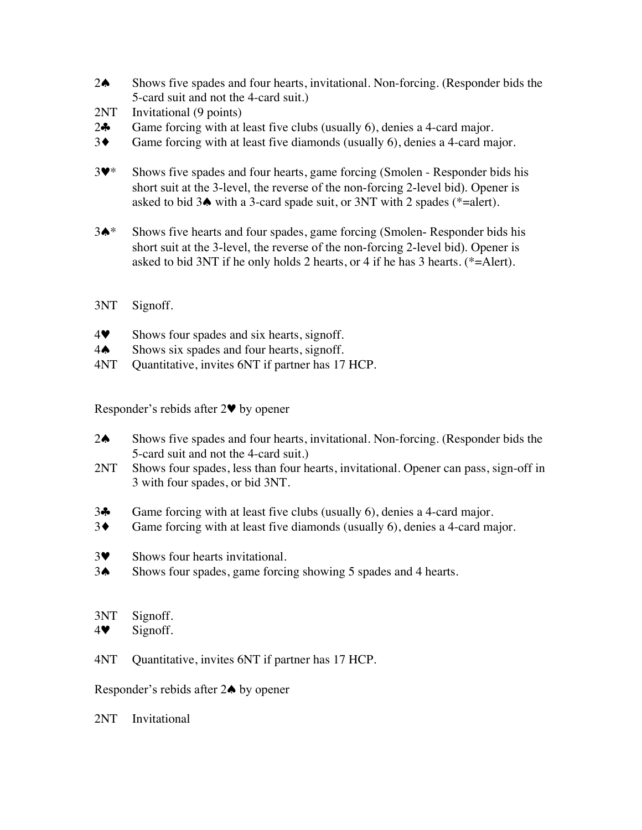- 2♠ Shows five spades and four hearts, invitational. Non-forcing. (Responder bids the 5-card suit and not the 4-card suit.)
- 2NT Invitational (9 points)
- 2♣ Game forcing with at least five clubs (usually 6), denies a 4-card major.
- 3♦ Game forcing with at least five diamonds (usually 6), denies a 4-card major.
- 3♥\* Shows five spades and four hearts, game forcing (Smolen Responder bids his short suit at the 3-level, the reverse of the non-forcing 2-level bid). Opener is asked to bid 3♠ with a 3-card spade suit, or 3NT with 2 spades (\*=alert).
- 3♠\* Shows five hearts and four spades, game forcing (Smolen- Responder bids his short suit at the 3-level, the reverse of the non-forcing 2-level bid). Opener is asked to bid 3NT if he only holds 2 hearts, or 4 if he has 3 hearts. (\*=Alert).

#### 3NT Signoff.

- 4♥ Shows four spades and six hearts, signoff.
- 4♦ Shows six spades and four hearts, signoff.<br>4NT Ouantitative, invites 6NT if partner has 17
- Quantitative, invites 6NT if partner has 17 HCP.

Responder's rebids after 2♥ by opener

- 2♠ Shows five spades and four hearts, invitational. Non-forcing. (Responder bids the 5-card suit and not the 4-card suit.)
- 2NT Shows four spades, less than four hearts, invitational. Opener can pass, sign-off in 3 with four spades, or bid 3NT.
- 3♣ Game forcing with at least five clubs (usually 6), denies a 4-card major.
- 3♦ Game forcing with at least five diamonds (usually 6), denies a 4-card major.
- 3♥ Shows four hearts invitational.
- 3♠ Shows four spades, game forcing showing 5 spades and 4 hearts.

#### 3NT Signoff.

- 4♥ Signoff.
- 4NT Quantitative, invites 6NT if partner has 17 HCP.

Responder's rebids after 2♠ by opener

2NT Invitational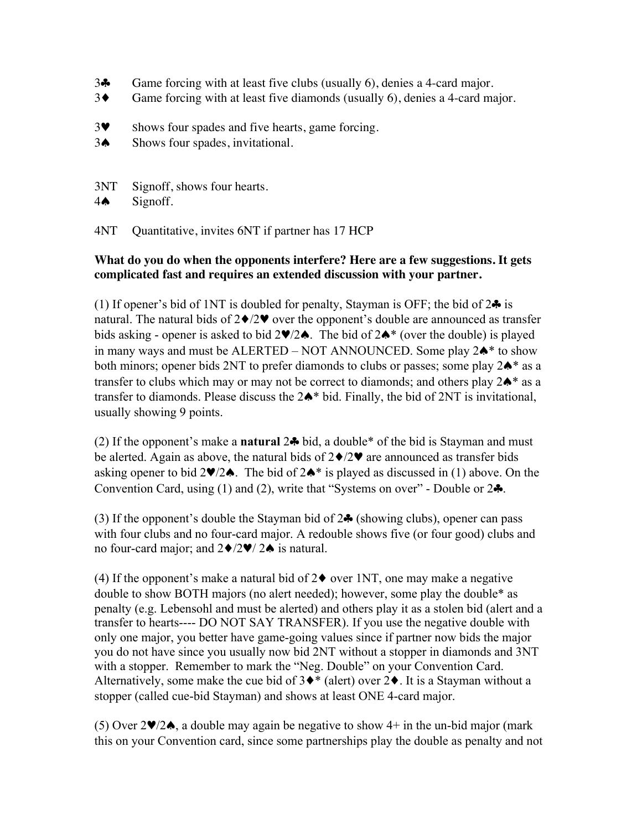- 3♣ Game forcing with at least five clubs (usually 6), denies a 4-card major.
- 3♦ Game forcing with at least five diamonds (usually 6), denies a 4-card major.
- 3♥ Shows four spades and five hearts, game forcing.
- 3♠ Shows four spades, invitational.
- 3NT Signoff, shows four hearts.
- 4♠ Signoff.

4NT Quantitative, invites 6NT if partner has 17 HCP

## **What do you do when the opponents interfere? Here are a few suggestions. It gets complicated fast and requires an extended discussion with your partner.**

(1) If opener's bid of 1NT is doubled for penalty, Stayman is OFF; the bid of  $2\clubsuit$  is natural. The natural bids of  $2\blacklozenge/2\blacktriangledown$  over the opponent's double are announced as transfer bids asking - opener is asked to bid 2♥/2♠. The bid of 2♠\* (over the double) is played in many ways and must be ALERTED – NOT ANNOUNCED. Some play  $2\spadesuit^*$  to show both minors; opener bids 2NT to prefer diamonds to clubs or passes; some play 2♠\* as a transfer to clubs which may or may not be correct to diamonds; and others play 2♠\* as a transfer to diamonds. Please discuss the 2♠\* bid. Finally, the bid of 2NT is invitational, usually showing 9 points.

(2) If the opponent's make a **natural** 2♣ bid, a double\* of the bid is Stayman and must be alerted. Again as above, the natural bids of  $2\blacklozenge/2\Psi$  are announced as transfer bids asking opener to bid 2 $\blacktriangleright$ /2 $\blacktriangle$ . The bid of 2 $\blacktriangleright$ \* is played as discussed in (1) above. On the Convention Card, using (1) and (2), write that "Systems on over" - Double or  $2\clubsuit$ .

(3) If the opponent's double the Stayman bid of  $2\clubsuit$  (showing clubs), opener can pass with four clubs and no four-card major. A redouble shows five (or four good) clubs and no four-card major; and 2♦/2♥/ 2♠ is natural.

(4) If the opponent's make a natural bid of  $2\blacklozenge$  over 1NT, one may make a negative double to show BOTH majors (no alert needed); however, some play the double\* as penalty (e.g. Lebensohl and must be alerted) and others play it as a stolen bid (alert and a transfer to hearts---- DO NOT SAY TRANSFER). If you use the negative double with only one major, you better have game-going values since if partner now bids the major you do not have since you usually now bid 2NT without a stopper in diamonds and 3NT with a stopper. Remember to mark the "Neg. Double" on your Convention Card. Alternatively, some make the cue bid of  $3\blacklozenge^*$  (alert) over  $2\blacklozenge$ . It is a Stayman without a stopper (called cue-bid Stayman) and shows at least ONE 4-card major.

(5) Over 2♥/2♠, a double may again be negative to show 4+ in the un-bid major (mark this on your Convention card, since some partnerships play the double as penalty and not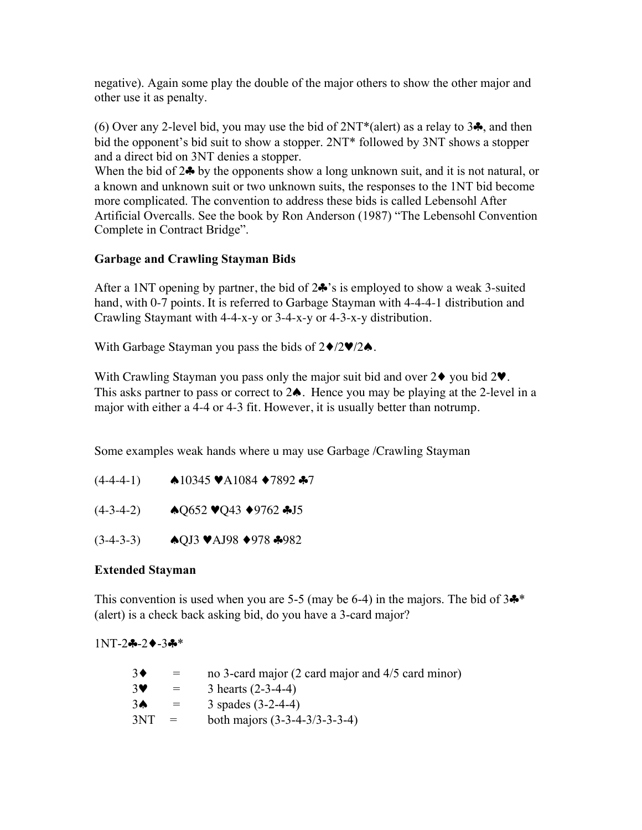negative). Again some play the double of the major others to show the other major and other use it as penalty.

(6) Over any 2-level bid, you may use the bid of  $2NT*(\text{alert})$  as a relay to 3 $\clubsuit$ , and then bid the opponent's bid suit to show a stopper. 2NT\* followed by 3NT shows a stopper and a direct bid on 3NT denies a stopper.

When the bid of 2♣ by the opponents show a long unknown suit, and it is not natural, or a known and unknown suit or two unknown suits, the responses to the 1NT bid become more complicated. The convention to address these bids is called Lebensohl After Artificial Overcalls. See the book by Ron Anderson (1987) "The Lebensohl Convention Complete in Contract Bridge".

## **Garbage and Crawling Stayman Bids**

After a 1NT opening by partner, the bid of 2♣'s is employed to show a weak 3-suited hand, with 0-7 points. It is referred to Garbage Stayman with 4-4-4-1 distribution and Crawling Staymant with 4-4-x-y or 3-4-x-y or 4-3-x-y distribution.

With Garbage Stayman you pass the bids of  $2\blacklozenge/2\blacktriangledown/2\blacklozenge$ .

With Crawling Stayman you pass only the major suit bid and over  $2\blacklozenge$  you bid  $2\Psi$ . This asks partner to pass or correct to 2♠. Hence you may be playing at the 2-level in a major with either a 4-4 or 4-3 fit. However, it is usually better than notrump.

Some examples weak hands where u may use Garbage /Crawling Stayman

- $(4-4-4-1)$   $\bullet$ 10345  $\blacktriangleright$ A1084  $\blacktriangleright$ 7892  $\blacklozenge$ 7
- $(4-3-4-2)$   $\bullet$  Q652  $\blacktriangledown$ Q43  $\blacktriangledown$ 9762  $\clubsuit$ J5
- (3-4-3-3) ♠QJ3 ♥AJ98 ♦978 ♣982

## **Extended Stayman**

This convention is used when you are 5-5 (may be 6-4) in the majors. The bid of  $3\clubsuit^*$ (alert) is a check back asking bid, do you have a 3-card major?

1NT-2♣-2♦-3♣\*

| $=$ | no 3-card major (2 card major and 4/5 card minor) |
|-----|---------------------------------------------------|
| $=$ | 3 hearts $(2-3-4-4)$                              |
| $=$ | 3 spades $(3-2-4-4)$                              |
| $=$ | both majors $(3-3-4-3/3-3-3-4)$                   |
|     |                                                   |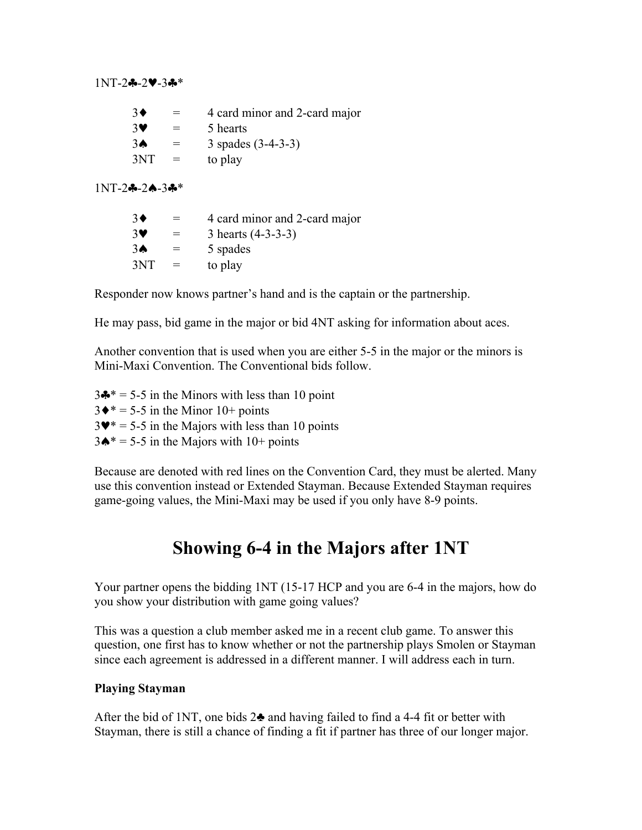#### 1NT-2♣-2♥-3♣\*

| $3\blacklozenge$      | $=$ | 4 card minor and 2-card major |
|-----------------------|-----|-------------------------------|
| $3\blacktriangledown$ | $=$ | 5 hearts                      |
| 3♠                    | $=$ | 3 spades $(3-4-3-3)$          |
| 3NT                   | $=$ | to play                       |

1NT-2♣-2♠-3♣\*

| $3\blacklozenge$      | $=$ | 4 card minor and 2-card major |
|-----------------------|-----|-------------------------------|
| $3\blacktriangledown$ | $=$ | 3 hearts $(4-3-3-3)$          |
| 3♠                    | $=$ | 5 spades                      |
| 3NT                   | $=$ | to play                       |

Responder now knows partner's hand and is the captain or the partnership.

He may pass, bid game in the major or bid 4NT asking for information about aces.

Another convention that is used when you are either 5-5 in the major or the minors is Mini-Maxi Convention. The Conventional bids follow.

 $3\clubsuit^* = 5-5$  in the Minors with less than 10 point  $3\blacklozenge* = 5-5$  in the Minor  $10+$  points  $3\Psi^* = 5-5$  in the Majors with less than 10 points  $3\spadesuit^* = 5-5$  in the Majors with  $10+$  points

Because are denoted with red lines on the Convention Card, they must be alerted. Many use this convention instead or Extended Stayman. Because Extended Stayman requires game-going values, the Mini-Maxi may be used if you only have 8-9 points.

# **Showing 6-4 in the Majors after 1NT**

Your partner opens the bidding 1NT (15-17 HCP and you are 6-4 in the majors, how do you show your distribution with game going values?

This was a question a club member asked me in a recent club game. To answer this question, one first has to know whether or not the partnership plays Smolen or Stayman since each agreement is addressed in a different manner. I will address each in turn.

## **Playing Stayman**

After the bid of 1NT, one bids  $2\clubsuit$  and having failed to find a 4-4 fit or better with Stayman, there is still a chance of finding a fit if partner has three of our longer major.